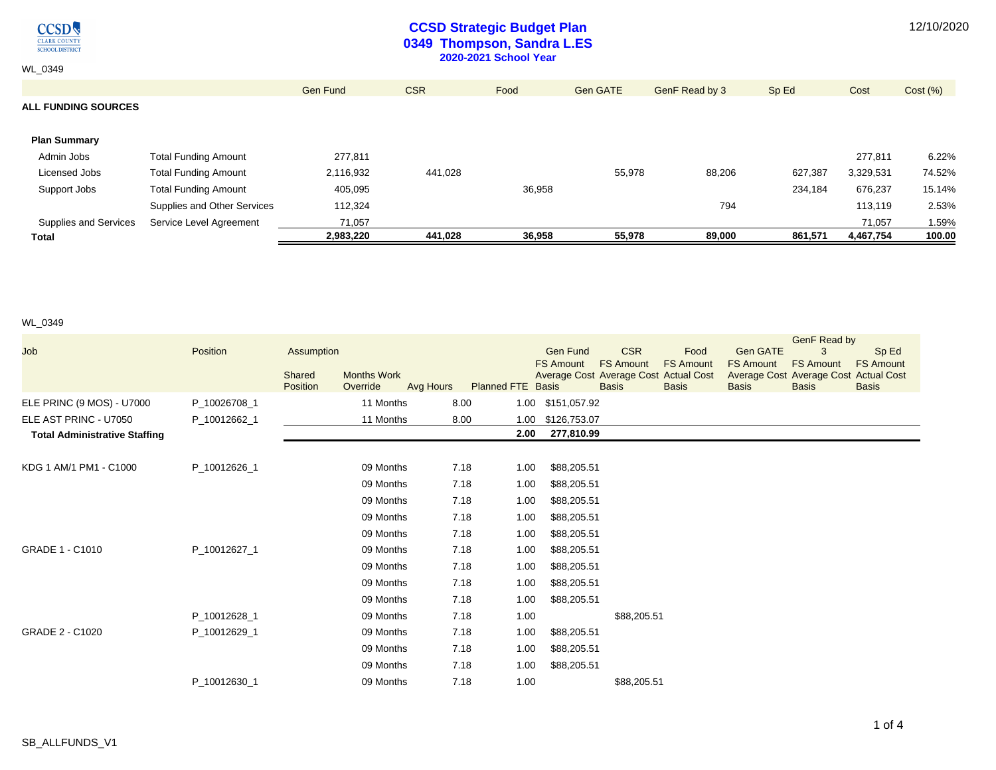**CCSD** CLARK COUNTY<br>SCHOOL DISTRICT

WL\_0349

## **CCSD Strategic Budget Plan 0349 Thompson, Sandra L.ES 2020-2021 School Year**

Gen Fund CSR Food Gen GATE Gen F Read by 3 Sp Ed Cost Cost (%)

# **ALL FUNDING SOURCES**

| <b>Plan Summary</b>   |                             |           |         |        |        |        |         |           |        |
|-----------------------|-----------------------------|-----------|---------|--------|--------|--------|---------|-----------|--------|
| Admin Jobs            | <b>Total Funding Amount</b> | 277,811   |         |        |        |        |         | 277.811   | 6.22%  |
| Licensed Jobs         | <b>Total Funding Amount</b> | 2,116,932 | 441.028 |        | 55,978 | 88,206 | 627.387 | 3,329,531 | 74.52% |
| Support Jobs          | <b>Total Funding Amount</b> | 405,095   |         | 36,958 |        |        | 234.184 | 676,237   | 15.14% |
|                       | Supplies and Other Services | 112,324   |         |        |        | 794    |         | 113,119   | 2.53%  |
| Supplies and Services | Service Level Agreement     | 71.057    |         |        |        |        |         | 71.057    | 1.59%  |
| <b>Total</b>          |                             | 2,983,220 | 441,028 | 36,958 | 55,978 | 89,000 | 861,571 | 4,467,754 | 100.00 |

#### WL\_0349

| Job                                  | Position     | Assumption<br>Shared<br><b>Months Work</b><br>Position<br>Override | Avg Hours | <b>Planned FTE Basis</b> | <b>Gen Fund</b><br><b>FS Amount</b> | <b>CSR</b><br><b>FS Amount</b><br>Average Cost Average Cost Actual Cost<br><b>Basis</b> | Food<br><b>FS Amount</b><br><b>Basis</b> | <b>Gen GATE</b><br><b>FS Amount</b><br><b>Basis</b> | <b>GenF Read by</b><br>3<br><b>FS Amount</b><br>Average Cost Average Cost Actual Cost<br><b>Basis</b> | Sp Ed<br><b>FS Amount</b><br><b>Basis</b> |
|--------------------------------------|--------------|--------------------------------------------------------------------|-----------|--------------------------|-------------------------------------|-----------------------------------------------------------------------------------------|------------------------------------------|-----------------------------------------------------|-------------------------------------------------------------------------------------------------------|-------------------------------------------|
| ELE PRINC (9 MOS) - U7000            | P 10026708 1 | 11 Months                                                          | 8.00      |                          | 1.00 \$151,057.92                   |                                                                                         |                                          |                                                     |                                                                                                       |                                           |
| ELE AST PRINC - U7050                | P 10012662 1 | 11 Months                                                          | 8.00      | 1.00                     | \$126,753.07                        |                                                                                         |                                          |                                                     |                                                                                                       |                                           |
| <b>Total Administrative Staffing</b> |              |                                                                    |           | 2.00                     | 277,810.99                          |                                                                                         |                                          |                                                     |                                                                                                       |                                           |
|                                      |              |                                                                    |           |                          |                                     |                                                                                         |                                          |                                                     |                                                                                                       |                                           |
| KDG 1 AM/1 PM1 - C1000               | P_10012626_1 | 09 Months                                                          | 7.18      | 1.00                     | \$88,205.51                         |                                                                                         |                                          |                                                     |                                                                                                       |                                           |
|                                      |              | 09 Months                                                          | 7.18      | 1.00                     | \$88,205.51                         |                                                                                         |                                          |                                                     |                                                                                                       |                                           |
|                                      |              | 09 Months                                                          | 7.18      | 1.00                     | \$88,205.51                         |                                                                                         |                                          |                                                     |                                                                                                       |                                           |
|                                      |              | 09 Months                                                          | 7.18      | 1.00                     | \$88,205.51                         |                                                                                         |                                          |                                                     |                                                                                                       |                                           |
|                                      |              | 09 Months                                                          | 7.18      | 1.00                     | \$88,205.51                         |                                                                                         |                                          |                                                     |                                                                                                       |                                           |
| GRADE 1 - C1010                      | P_10012627_1 | 09 Months                                                          | 7.18      | 1.00                     | \$88,205.51                         |                                                                                         |                                          |                                                     |                                                                                                       |                                           |
|                                      |              | 09 Months                                                          | 7.18      | 1.00                     | \$88,205.51                         |                                                                                         |                                          |                                                     |                                                                                                       |                                           |
|                                      |              | 09 Months                                                          | 7.18      | 1.00                     | \$88,205.51                         |                                                                                         |                                          |                                                     |                                                                                                       |                                           |
|                                      |              | 09 Months                                                          | 7.18      | 1.00                     | \$88,205.51                         |                                                                                         |                                          |                                                     |                                                                                                       |                                           |
|                                      | P 10012628 1 | 09 Months                                                          | 7.18      | 1.00                     |                                     | \$88,205.51                                                                             |                                          |                                                     |                                                                                                       |                                           |
| GRADE 2 - C1020                      | P_10012629_1 | 09 Months                                                          | 7.18      | 1.00                     | \$88,205.51                         |                                                                                         |                                          |                                                     |                                                                                                       |                                           |
|                                      |              | 09 Months                                                          | 7.18      | 1.00                     | \$88,205.51                         |                                                                                         |                                          |                                                     |                                                                                                       |                                           |
|                                      |              | 09 Months                                                          | 7.18      | 1.00                     | \$88,205.51                         |                                                                                         |                                          |                                                     |                                                                                                       |                                           |
|                                      | P_10012630_1 | 09 Months                                                          | 7.18      | 1.00                     |                                     | \$88,205.51                                                                             |                                          |                                                     |                                                                                                       |                                           |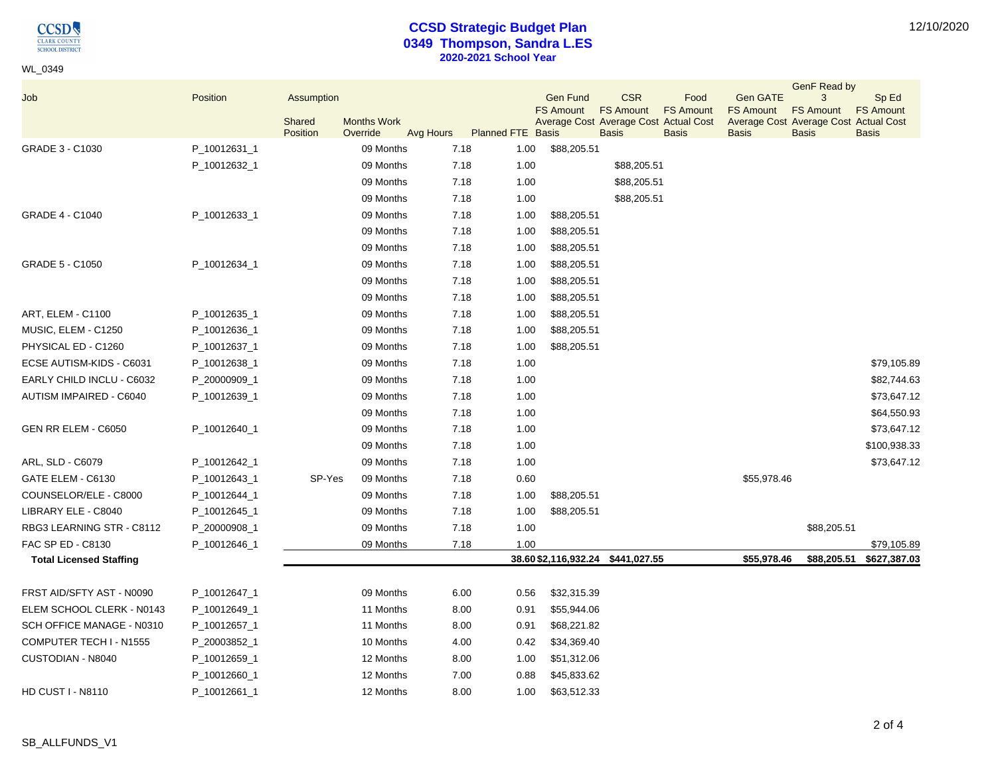$\underset{\frac{\text{CLARK COUNTY}}{\text{CHOOL DISTRIC}}}{\text{OLARK COUNTY}}$ 

WL\_0349

## **CCSD Strategic Budget Plan 0349 Thompson, Sandra L.ES 2020-2021 School Year**

|  | 12/10/2020 |
|--|------------|
|--|------------|

| Job                            | Position     | Assumption |                    |           |      |                          | <b>Gen Fund</b>                                           | <b>CSR</b>       | Food             | <b>Gen GATE</b>                                           | <b>GenF Read by</b><br>3 | Sp Ed            |
|--------------------------------|--------------|------------|--------------------|-----------|------|--------------------------|-----------------------------------------------------------|------------------|------------------|-----------------------------------------------------------|--------------------------|------------------|
|                                |              | Shared     | <b>Months Work</b> |           |      |                          | <b>FS Amount</b><br>Average Cost Average Cost Actual Cost | <b>FS Amount</b> | <b>FS Amount</b> | <b>FS Amount</b><br>Average Cost Average Cost Actual Cost | <b>FS Amount</b>         | <b>FS Amount</b> |
|                                |              | Position   | Override           | Avg Hours |      | <b>Planned FTE Basis</b> |                                                           | <b>Basis</b>     | <b>Basis</b>     | <b>Basis</b>                                              | <b>Basis</b>             | <b>Basis</b>     |
| GRADE 3 - C1030                | P_10012631_1 |            | 09 Months          |           | 7.18 | 1.00                     | \$88,205.51                                               |                  |                  |                                                           |                          |                  |
|                                | P_10012632_1 |            | 09 Months          |           | 7.18 | 1.00                     |                                                           | \$88,205.51      |                  |                                                           |                          |                  |
|                                |              |            | 09 Months          |           | 7.18 | 1.00                     |                                                           | \$88,205.51      |                  |                                                           |                          |                  |
|                                |              |            | 09 Months          |           | 7.18 | 1.00                     |                                                           | \$88,205.51      |                  |                                                           |                          |                  |
| <b>GRADE 4 - C1040</b>         | P_10012633_1 |            | 09 Months          |           | 7.18 | 1.00                     | \$88,205.51                                               |                  |                  |                                                           |                          |                  |
|                                |              |            | 09 Months          |           | 7.18 | 1.00                     | \$88,205.51                                               |                  |                  |                                                           |                          |                  |
|                                |              |            | 09 Months          |           | 7.18 | 1.00                     | \$88,205.51                                               |                  |                  |                                                           |                          |                  |
| GRADE 5 - C1050                | P_10012634_1 |            | 09 Months          |           | 7.18 | 1.00                     | \$88,205.51                                               |                  |                  |                                                           |                          |                  |
|                                |              |            | 09 Months          |           | 7.18 | 1.00                     | \$88,205.51                                               |                  |                  |                                                           |                          |                  |
|                                |              |            | 09 Months          |           | 7.18 | 1.00                     | \$88,205.51                                               |                  |                  |                                                           |                          |                  |
| ART, ELEM - C1100              | P_10012635_1 |            | 09 Months          |           | 7.18 | 1.00                     | \$88,205.51                                               |                  |                  |                                                           |                          |                  |
| MUSIC, ELEM - C1250            | P_10012636_1 |            | 09 Months          |           | 7.18 | 1.00                     | \$88,205.51                                               |                  |                  |                                                           |                          |                  |
| PHYSICAL ED - C1260            | P_10012637_1 |            | 09 Months          |           | 7.18 | 1.00                     | \$88,205.51                                               |                  |                  |                                                           |                          |                  |
| ECSE AUTISM-KIDS - C6031       | P_10012638_1 |            | 09 Months          |           | 7.18 | 1.00                     |                                                           |                  |                  |                                                           |                          | \$79,105.89      |
| EARLY CHILD INCLU - C6032      | P_20000909_1 |            | 09 Months          |           | 7.18 | 1.00                     |                                                           |                  |                  |                                                           |                          | \$82,744.63      |
| AUTISM IMPAIRED - C6040        | P_10012639_1 |            | 09 Months          |           | 7.18 | 1.00                     |                                                           |                  |                  |                                                           |                          | \$73,647.12      |
|                                |              |            | 09 Months          |           | 7.18 | 1.00                     |                                                           |                  |                  |                                                           |                          | \$64,550.93      |
| GEN RR ELEM - C6050            | P_10012640_1 |            | 09 Months          |           | 7.18 | 1.00                     |                                                           |                  |                  |                                                           |                          | \$73,647.12      |
|                                |              |            | 09 Months          |           | 7.18 | 1.00                     |                                                           |                  |                  |                                                           |                          | \$100,938.33     |
| ARL, SLD - C6079               | P_10012642_1 |            | 09 Months          |           | 7.18 | 1.00                     |                                                           |                  |                  |                                                           |                          | \$73,647.12      |
| GATE ELEM - C6130              | P_10012643_1 | SP-Yes     | 09 Months          |           | 7.18 | 0.60                     |                                                           |                  |                  | \$55,978.46                                               |                          |                  |
| COUNSELOR/ELE - C8000          | P_10012644_1 |            | 09 Months          |           | 7.18 | 1.00                     | \$88,205.51                                               |                  |                  |                                                           |                          |                  |
| LIBRARY ELE - C8040            | P_10012645_1 |            | 09 Months          |           | 7.18 | 1.00                     | \$88,205.51                                               |                  |                  |                                                           |                          |                  |
| RBG3 LEARNING STR - C8112      | P_20000908_1 |            | 09 Months          |           | 7.18 | 1.00                     |                                                           |                  |                  |                                                           | \$88,205.51              |                  |
| FAC SP ED - C8130              | P_10012646_1 |            | 09 Months          |           | 7.18 | 1.00                     |                                                           |                  |                  |                                                           |                          | \$79,105.89      |
| <b>Total Licensed Staffing</b> |              |            |                    |           |      |                          | 38.60 \$2,116,932.24 \$441,027.55                         |                  |                  | \$55,978.46                                               | \$88,205.51              | \$627,387.03     |
| FRST AID/SFTY AST - N0090      | P_10012647_1 |            | 09 Months          |           | 6.00 | 0.56                     | \$32,315.39                                               |                  |                  |                                                           |                          |                  |
| ELEM SCHOOL CLERK - N0143      | P_10012649_1 |            | 11 Months          |           | 8.00 | 0.91                     | \$55,944.06                                               |                  |                  |                                                           |                          |                  |
| SCH OFFICE MANAGE - N0310      | P_10012657_1 |            | 11 Months          |           | 8.00 | 0.91                     | \$68,221.82                                               |                  |                  |                                                           |                          |                  |
| COMPUTER TECH I - N1555        | P_20003852_1 |            | 10 Months          |           | 4.00 | 0.42                     | \$34,369.40                                               |                  |                  |                                                           |                          |                  |
| CUSTODIAN - N8040              | P_10012659_1 |            | 12 Months          |           | 8.00 | 1.00                     | \$51,312.06                                               |                  |                  |                                                           |                          |                  |
|                                | P_10012660_1 |            | 12 Months          |           | 7.00 | 0.88                     | \$45,833.62                                               |                  |                  |                                                           |                          |                  |
| <b>HD CUST I - N8110</b>       | P_10012661_1 |            | 12 Months          |           | 8.00 | 1.00                     | \$63,512.33                                               |                  |                  |                                                           |                          |                  |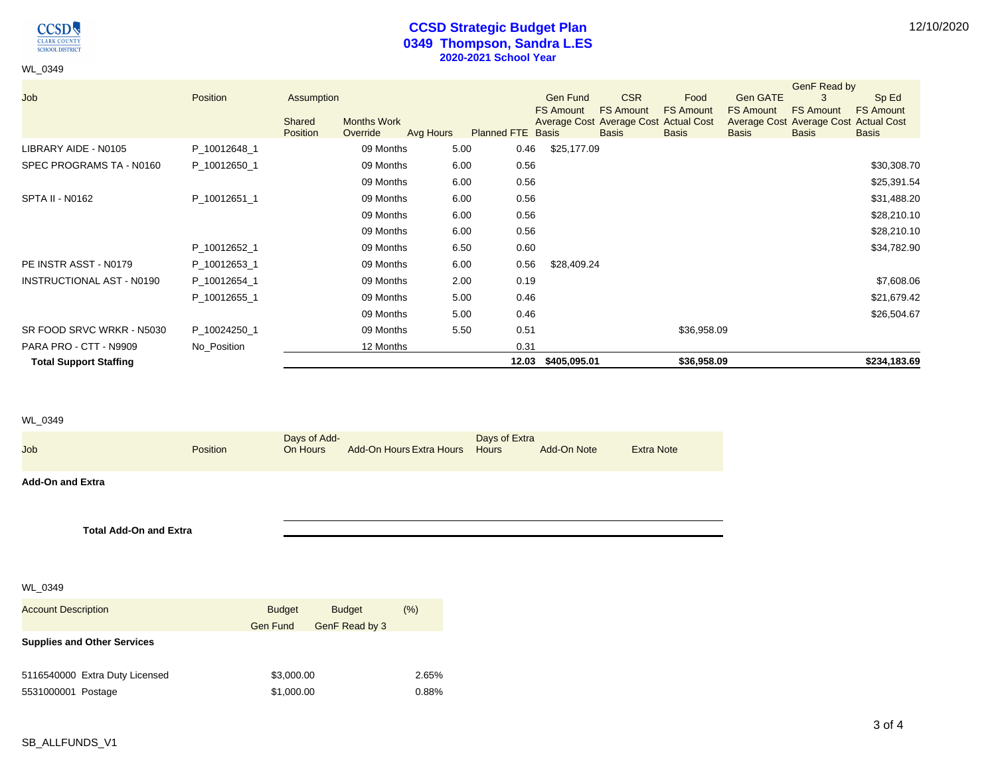

WL\_0349

## **CCSD Strategic Budget Plan 0349 Thompson, Sandra L.ES 2020-2021 School Year**

|                               |              |            |                    |           |                          |                    |                                                           |                  |                                                           | GenF Read by     |                  |
|-------------------------------|--------------|------------|--------------------|-----------|--------------------------|--------------------|-----------------------------------------------------------|------------------|-----------------------------------------------------------|------------------|------------------|
| Job                           | Position     | Assumption |                    |           |                          | <b>Gen Fund</b>    | <b>CSR</b>                                                | Food             | Gen GATE                                                  |                  | Sp Ed            |
|                               |              | Shared     | <b>Months Work</b> |           |                          | <b>FS Amount</b>   | <b>FS Amount</b><br>Average Cost Average Cost Actual Cost | <b>FS Amount</b> | <b>FS Amount</b><br>Average Cost Average Cost Actual Cost | <b>FS Amount</b> | <b>FS Amount</b> |
|                               |              | Position   | Override           | Avg Hours | <b>Planned FTE Basis</b> |                    | <b>Basis</b>                                              | <b>Basis</b>     | <b>Basis</b>                                              | <b>Basis</b>     | <b>Basis</b>     |
| LIBRARY AIDE - N0105          | P_10012648_1 |            | 09 Months          | 5.00      | 0.46                     | \$25,177.09        |                                                           |                  |                                                           |                  |                  |
| SPEC PROGRAMS TA - N0160      | P 10012650 1 |            | 09 Months          | 6.00      | 0.56                     |                    |                                                           |                  |                                                           |                  | \$30,308.70      |
|                               |              |            | 09 Months          | 6.00      | 0.56                     |                    |                                                           |                  |                                                           |                  | \$25,391.54      |
| SPTA II - N0162               | P_10012651_1 |            | 09 Months          | 6.00      | 0.56                     |                    |                                                           |                  |                                                           |                  | \$31,488.20      |
|                               |              |            | 09 Months          | 6.00      | 0.56                     |                    |                                                           |                  |                                                           |                  | \$28,210.10      |
|                               |              |            | 09 Months          | 6.00      | 0.56                     |                    |                                                           |                  |                                                           |                  | \$28,210.10      |
|                               | P_10012652_1 |            | 09 Months          | 6.50      | 0.60                     |                    |                                                           |                  |                                                           |                  | \$34,782.90      |
| PE INSTR ASST - N0179         | P_10012653_1 |            | 09 Months          | 6.00      | 0.56                     | \$28,409.24        |                                                           |                  |                                                           |                  |                  |
| INSTRUCTIONAL AST - N0190     | P 10012654 1 |            | 09 Months          | 2.00      | 0.19                     |                    |                                                           |                  |                                                           |                  | \$7,608.06       |
|                               | P 10012655 1 |            | 09 Months          | 5.00      | 0.46                     |                    |                                                           |                  |                                                           |                  | \$21,679.42      |
|                               |              |            | 09 Months          | 5.00      | 0.46                     |                    |                                                           |                  |                                                           |                  | \$26,504.67      |
| SR FOOD SRVC WRKR - N5030     | P_10024250_1 |            | 09 Months          | 5.50      | 0.51                     |                    |                                                           | \$36,958.09      |                                                           |                  |                  |
| PARA PRO - CTT - N9909        | No_Position  |            | 12 Months          |           | 0.31                     |                    |                                                           |                  |                                                           |                  |                  |
| <b>Total Support Staffing</b> |              |            |                    |           |                          | 12.03 \$405,095.01 |                                                           | \$36,958.09      |                                                           |                  | \$234,183.69     |

#### WL\_0349

| Job                           | <b>Position</b> | Days of Add- | On Hours Add-On Hours Extra Hours Hours | Days of Extra | Add-On Note | <b>Extra Note</b> |
|-------------------------------|-----------------|--------------|-----------------------------------------|---------------|-------------|-------------------|
| <b>Add-On and Extra</b>       |                 |              |                                         |               |             |                   |
|                               |                 |              |                                         |               |             |                   |
| <b>Total Add-On and Extra</b> |                 |              |                                         |               |             |                   |

WL\_0349

| <b>Account Description</b>         | <b>Budget</b>   | <b>Budget</b>  | (% )  |
|------------------------------------|-----------------|----------------|-------|
|                                    | <b>Gen Fund</b> | GenF Read by 3 |       |
| <b>Supplies and Other Services</b> |                 |                |       |
|                                    |                 |                |       |
| 5116540000 Extra Duty Licensed     | \$3,000.00      |                | 2.65% |
| 5531000001 Postage                 | \$1,000.00      |                | 0.88% |
|                                    |                 |                |       |